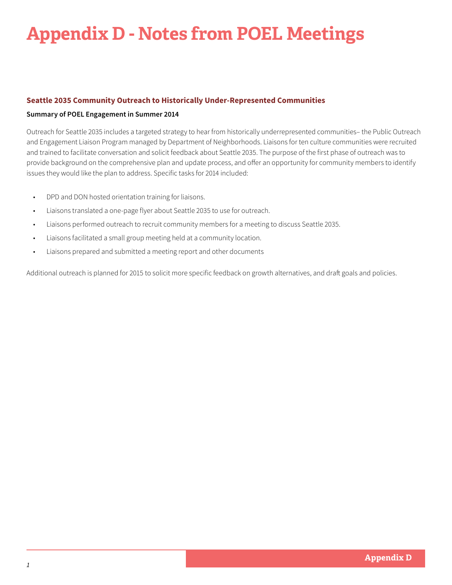# **Appendix D - Notes from POEL Meetings**

## **Seattle 2035 Community Outreach to Historically Under-Represented Communities**

#### **Summary of POEL Engagement in Summer 2014**

Outreach for Seattle 2035 includes a targeted strategy to hear from historically underrepresented communities– the Public Outreach and Engagement Liaison Program managed by Department of Neighborhoods. Liaisons for ten culture communities were recruited and trained to facilitate conversation and solicit feedback about Seattle 2035. The purpose of the first phase of outreach was to provide background on the comprehensive plan and update process, and offer an opportunity for community members to identify issues they would like the plan to address. Specific tasks for 2014 included:

- DPD and DON hosted orientation training for liaisons.
- Liaisons translated a one-page flyer about Seattle 2035 to use for outreach.
- Liaisons performed outreach to recruit community members for a meeting to discuss Seattle 2035.
- Liaisons facilitated a small group meeting held at a community location.
- Liaisons prepared and submitted a meeting report and other documents

Additional outreach is planned for 2015 to solicit more specific feedback on growth alternatives, and draft goals and policies.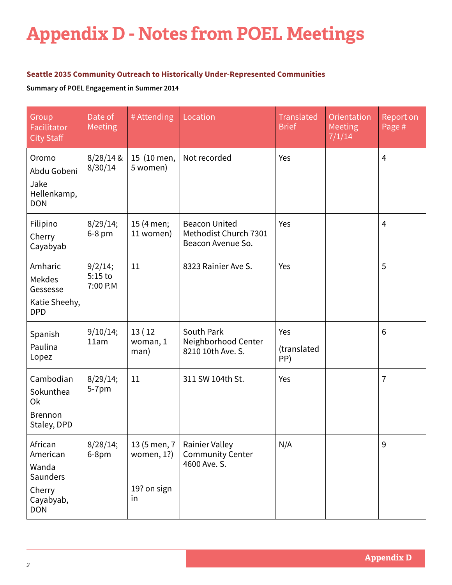# **Appendix D - Notes from POEL Meetings**

## **Seattle 2035 Community Outreach to Historically Under-Represented Communities**

**Summary of POEL Engagement in Summer 2014**

| Group<br>Facilitator<br><b>City Staff</b>                                     | Date of<br>Meeting               | # Attending                                        | Location                                                           | <b>Translated</b><br><b>Brief</b> | <b>Orientation</b><br>Meeting<br>7/1/14 | Report on<br>Page # |
|-------------------------------------------------------------------------------|----------------------------------|----------------------------------------------------|--------------------------------------------------------------------|-----------------------------------|-----------------------------------------|---------------------|
| Oromo<br>Abdu Gobeni<br>Jake<br>Hellenkamp,<br><b>DON</b>                     | $8/28/14$ &<br>8/30/14           | 15 (10 men,<br>5 women)                            | Not recorded                                                       | Yes                               |                                         | $\overline{4}$      |
| Filipino<br>Cherry<br>Cayabyab                                                | 8/29/14;<br>6-8 pm               | 15 (4 men;<br>11 women)                            | <b>Beacon United</b><br>Methodist Church 7301<br>Beacon Avenue So. | Yes                               |                                         | $\overline{4}$      |
| Amharic<br>Mekdes<br>Gessesse<br>Katie Sheehy,<br><b>DPD</b>                  | 9/2/14;<br>$5:15$ to<br>7:00 P.M | 11                                                 | 8323 Rainier Ave S.                                                | Yes                               |                                         | 5                   |
| Spanish<br>Paulina<br>Lopez                                                   | 9/10/14;<br>11am                 | 13(12)<br>woman, 1<br>man)                         | South Park<br>Neighborhood Center<br>8210 10th Ave. S.             | Yes<br>(translated<br>PP)         |                                         | 6                   |
| Cambodian<br>Sokunthea<br>0k<br><b>Brennon</b><br>Staley, DPD                 | 8/29/14;<br>5-7pm                | 11                                                 | 311 SW 104th St.                                                   | Yes                               |                                         | $\overline{7}$      |
| African<br>American<br>Wanda<br>Saunders<br>Cherry<br>Cayabyab,<br><b>DON</b> | 8/28/14;<br>6-8pm                | 13 (5 men, 7<br>women, $1$ ?)<br>19? on sign<br>in | <b>Rainier Valley</b><br><b>Community Center</b><br>4600 Ave. S.   | N/A                               |                                         | 9                   |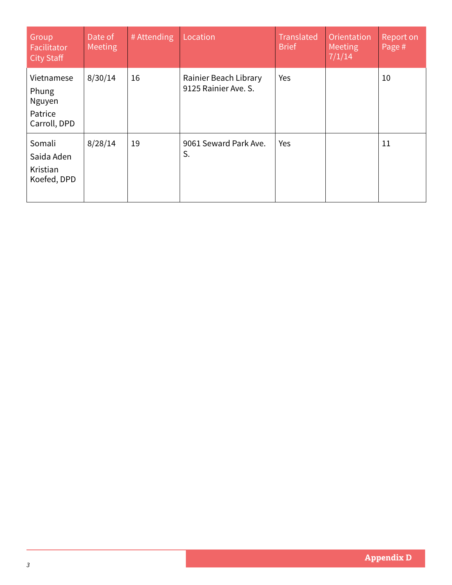| Group<br><b>Facilitator</b><br><b>City Staff</b>         | Date of<br>Meeting | # Attending | Location                                      | <b>Translated</b><br><b>Brief</b> | Orientation<br>Meeting<br>7/1/14 | Report on<br>Page # |
|----------------------------------------------------------|--------------------|-------------|-----------------------------------------------|-----------------------------------|----------------------------------|---------------------|
| Vietnamese<br>Phung<br>Nguyen<br>Patrice<br>Carroll, DPD | 8/30/14            | 16          | Rainier Beach Library<br>9125 Rainier Ave. S. | Yes                               |                                  | 10                  |
| Somali<br>Saida Aden<br>Kristian<br>Koefed, DPD          | 8/28/14            | 19          | 9061 Seward Park Ave.<br>S.                   | Yes                               |                                  | 11                  |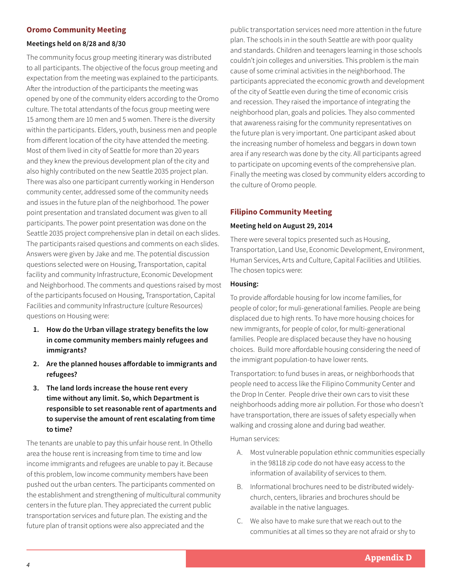## **Oromo Community Meeting**

#### **Meetings held on 8/28 and 8/30**

The community focus group meeting itinerary was distributed to all participants. The objective of the focus group meeting and expectation from the meeting was explained to the participants. After the introduction of the participants the meeting was opened by one of the community elders according to the Oromo culture. The total attendants of the focus group meeting were 15 among them are 10 men and 5 women. There is the diversity within the participants. Elders, youth, business men and people from different location of the city have attended the meeting. Most of them lived in city of Seattle for more than 20 years and they knew the previous development plan of the city and also highly contributed on the new Seattle 2035 project plan. There was also one participant currently working in Henderson community center, addressed some of the community needs and issues in the future plan of the neighborhood. The power point presentation and translated document was given to all participants. The power point presentation was done on the Seattle 2035 project comprehensive plan in detail on each slides. The participants raised questions and comments on each slides. Answers were given by Jake and me. The potential discussion questions selected were on Housing, Transportation, capital facility and community Infrastructure, Economic Development and Neighborhood. The comments and questions raised by most of the participants focused on Housing, Transportation, Capital Facilities and community Infrastructure (culture Resources) questions on Housing were:

- **1. How do the Urban village strategy benefits the low in come community members mainly refugees and immigrants?**
- **2. Are the planned houses affordable to immigrants and refugees?**
- **3. The land lords increase the house rent every time without any limit. So, which Department is responsible to set reasonable rent of apartments and to supervise the amount of rent escalating from time to time?**

The tenants are unable to pay this unfair house rent. In Othello area the house rent is increasing from time to time and low income immigrants and refugees are unable to pay it. Because of this problem, low income community members have been pushed out the urban centers. The participants commented on the establishment and strengthening of multicultural community centers in the future plan. They appreciated the current public transportation services and future plan. The existing and the future plan of transit options were also appreciated and the

public transportation services need more attention in the future plan. The schools in in the south Seattle are with poor quality and standards. Children and teenagers learning in those schools couldn't join colleges and universities. This problem is the main cause of some criminal activities in the neighborhood. The participants appreciated the economic growth and development of the city of Seattle even during the time of economic crisis and recession. They raised the importance of integrating the neighborhood plan, goals and policies. They also commented that awareness raising for the community representatives on the future plan is very important. One participant asked about the increasing number of homeless and beggars in down town area if any research was done by the city. All participants agreed to participate on upcoming events of the comprehensive plan. Finally the meeting was closed by community elders according to the culture of Oromo people.

## **Filipino Community Meeting**

#### **Meeting held on August 29, 2014**

There were several topics presented such as Housing, Transportation, Land Use, Economic Development, Environment, Human Services, Arts and Culture, Capital Facilities and Utilities. The chosen topics were:

#### **Housing:**

To provide affordable housing for low income families, for people of color; for muli-generational families. People are being displaced due to high rents. To have more housing choices for new immigrants, for people of color, for multi-generational families. People are displaced because they have no housing choices. Build more affordable housing considering the need of the immigrant population-to have lower rents.

Transportation: to fund buses in areas, or neighborhoods that people need to access like the Filipino Community Center and the Drop In Center. People drive their own cars to visit these neighborhoods adding more air pollution. For those who doesn't have transportation, there are issues of safety especially when walking and crossing alone and during bad weather.

Human services:

- A. Most vulnerable population ethnic communities especially in the 98118 zip code do not have easy access to the information of availability of services to them.
- B. Informational brochures need to be distributed widelychurch, centers, libraries and brochures should be available in the native languages.
- C. We also have to make sure that we reach out to the communities at all times so they are not afraid or shy to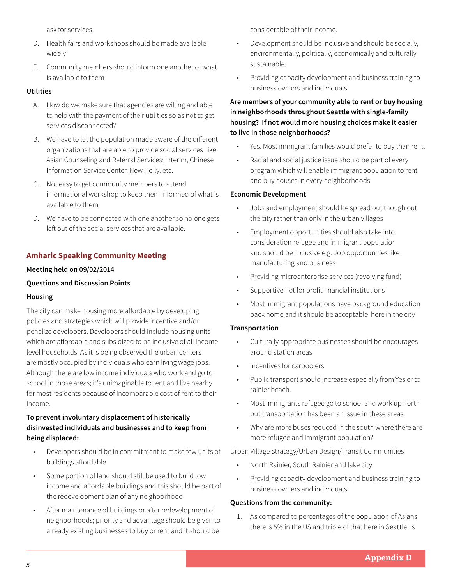ask for services.

- D. Health fairs and workshops should be made available widely
- E. Community members should inform one another of what is available to them

## **Utilities**

- A. How do we make sure that agencies are willing and able to help with the payment of their utilities so as not to get services disconnected?
- B. We have to let the population made aware of the different organizations that are able to provide social services like Asian Counseling and Referral Services; Interim, Chinese Information Service Center, New Holly. etc.
- C. Not easy to get community members to attend informational workshop to keep them informed of what is available to them.
- D. We have to be connected with one another so no one gets left out of the social services that are available.

# **Amharic Speaking Community Meeting**

#### **Meeting held on 09/02/2014**

## **Questions and Discussion Points**

#### **Housing**

The city can make housing more affordable by developing policies and strategies which will provide incentive and/or penalize developers. Developers should include housing units which are affordable and subsidized to be inclusive of all income level households. As it is being observed the urban centers are mostly occupied by individuals who earn living wage jobs. Although there are low income individuals who work and go to school in those areas; it's unimaginable to rent and live nearby for most residents because of incomparable cost of rent to their income.

# **To prevent involuntary displacement of historically disinvested individuals and businesses and to keep from being displaced:**

- Developers should be in commitment to make few units of buildings affordable
- Some portion of land should still be used to build low income and affordable buildings and this should be part of the redevelopment plan of any neighborhood
- After maintenance of buildings or after redevelopment of neighborhoods; priority and advantage should be given to already existing businesses to buy or rent and it should be

considerable of their income.

- Development should be inclusive and should be socially, environmentally, politically, economically and culturally sustainable.
- Providing capacity development and business training to business owners and individuals

# **Are members of your community able to rent or buy housing in neighborhoods throughout Seattle with single-family housing? If not would more housing choices make it easier to live in those neighborhoods?**

- Yes. Most immigrant families would prefer to buy than rent.
- Racial and social justice issue should be part of every program which will enable immigrant population to rent and buy houses in every neighborhoods

### **Economic Development**

- Jobs and employment should be spread out though out the city rather than only in the urban villages
- Employment opportunities should also take into consideration refugee and immigrant population and should be inclusive e.g. Job opportunities like manufacturing and business
- Providing microenterprise services (revolving fund)
- Supportive not for profit financial institutions
- Most immigrant populations have background education back home and it should be acceptable here in the city

#### **Transportation**

- Culturally appropriate businesses should be encourages around station areas
- Incentives for carpoolers
- Public transport should increase especially from Yesler to rainier beach.
- Most immigrants refugee go to school and work up north but transportation has been an issue in these areas
- Why are more buses reduced in the south where there are more refugee and immigrant population?

#### Urban Village Strategy/Urban Design/Transit Communities

- North Rainier, South Rainier and lake city
- Providing capacity development and business training to business owners and individuals

#### **Questions from the community:**

1. As compared to percentages of the population of Asians there is 5% in the US and triple of that here in Seattle. Is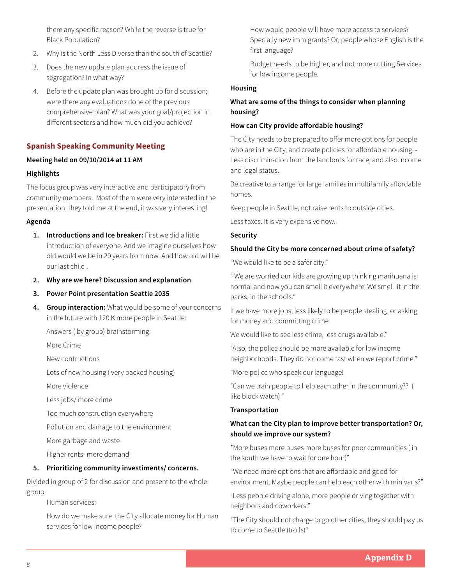there any specific reason? While the reverse is true for Black Population?

- 2. Why is the North Less Diverse than the south of Seattle?
- 3. Does the new update plan address the issue of segregation? In what way?
- 4. Before the update plan was brought up for discussion; were there any evaluations done of the previous comprehensive plan? What was your goal/projection in different sectors and how much did you achieve?

## **Spanish Speaking Community Meeting**

### **Meeting held on 09/10/2014 at 11 AM**

### **Highlights**

The focus group was very interactive and participatory from community members. Most of them were very interested in the presentation, they told me at the end, it was very interesting!

#### **Agenda**

- **1. Introductions and Ice breaker:** First we did a little introduction of everyone. And we imagine ourselves how old would we be in 20 years from now. And how old will be our last child .
- **2. Why are we here? Discussion and explanation**

**3. Power Point presentation Seattle 2035**

**4. Group interaction:** What would be some of your concerns in the future with 120 K more people in Seattle:

Answers ( by group) brainstorming:

More Crime

New contructions

Lots of new housing ( very packed housing)

More violence

Less jobs/ more crime

Too much construction everywhere

Pollution and damage to the environment

More garbage and waste

Higher rents- more demand

#### **5. Prioritizing community investiments/ concerns.**

Divided in group of 2 for discussion and present to the whole group:

Human services:

How do we make sure the City allocate money for Human services for low income people?

How would people will have more access to services? Specially new immigrants? Or, people whose English is the first language?

Budget needs to be higher, and not more cutting Services for low income people.

#### **Housing**

## **What are some of the things to consider when planning housing?**

### **How can City provide affordable housing?**

The City needs to be prepared to offer more options for people who are in the City, and create policies for affordable housing. - Less discrimination from the landlords for race, and also income and legal status.

Be creative to arrange for large families in multifamily affordable homes.

Keep people in Seattle, not raise rents to outside cities.

Less taxes. It is very expensive now.

#### **Security**

#### **Should the City be more concerned about crime of safety?**

"We would like to be a safer city:"

" We are worried our kids are growing up thinking marihuana is normal and now you can smell it everywhere. We smell it in the parks, in the schools."

If we have more jobs, less likely to be people stealing, or asking for money and committing crime

We would like to see less crime, less drugs available."

"Also, the police should be more available for low income neighborhoods. They do not come fast when we report crime."

"More police who speak our language!

"Can we train people to help each other in the community?? ( like block watch) "

#### **Transportation**

# **What can the City plan to improve better transportation? Or, should we improve our system?**

\*More buses more buses more buses for poor communities ( in the south we have to wait for one hour)"

"We need more options that are affordable and good for environment. Maybe people can help each other with minivans?"

"Less people driving alone, more people driving together with neighbors and coworkers."

"The City should not charge to go other cities, they should pay us to come to Seattle (trolls)"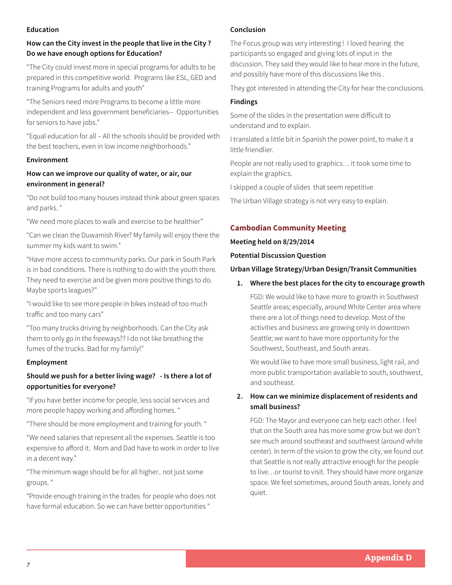### **Education**

# **How can the City invest in the people that live in the City ? Do we have enough options for Education?**

"The City could invest more in special programs for adults to be prepared in this competitive world. Programs like ESL, GED and training Programs for adults and youth"

"The Seniors need more Programs to become a little more independent and less government beneficiaries-- Opportunities for seniors to have jobs."

"Equal education for all – All the schools should be provided with the best teachers, even in low income neighborhoods."

# **Environment**

# **How can we improve our quality of water, or air, our environment in general?**

"Do not build too many houses instead think about green spaces and parks. "

"We need more places to walk and exercise to be healthier"

"Can we clean the Duwamish River? My family will enjoy there the summer my kids want to swim."

"Have more access to community parks. Our park in South Park is in bad conditions. There is nothing to do with the youth there. They need to exercise and be given more positive things to do. Maybe sports leagues?"

"I would like to see more people in bikes instead of too much traffic and too many cars"

"Too many trucks driving by neighborhoods. Can the City ask them to only go in the freeways?? I do not like breathing the fumes of the trucks. Bad for my family!"

# **Employment**

# **Should we push for a better living wage? - Is there a lot of opportunities for everyone?**

"If you have better income for people, less social services and more people happy working and affording homes. "

"There should be more employment and training for youth. "

"We need salaries that represent all the expenses. Seattle is too expensive to afford it. Mom and Dad have to work in order to live in a decent way."

"The minimum wage should be for all higher.. not just some groups. "

"Provide enough training in the trades for people who does not have formal education. So we can have better opportunities "

# **Conclusion**

The Focus group was very interesting ! I loved hearing the participants so engaged and giving lots of input in the discussion. They said they would like to hear more in the future, and possibly have more of this discussions like this .

They got interested in attending the City for hear the conclusions.

## **Findings**

Some of the slides in the presentation were difficult to understand and to explain.

I translated a little bit in Spanish the power point, to make it a little friendlier.

People are not really used to graphics… it took some time to explain the graphics.

I skipped a couple of slides that seem repetitive

The Urban Village strategy is not very easy to explain.

# **Cambodian Community Meeting**

## **Meeting held on 8/29/2014**

**Potential Discussion Question**

## **Urban Village Strategy/Urban Design/Transit Communities**

## **1. Where the best places for the city to encourage growth**

FGD: We would like to have more to growth in Southwest Seattle areas; especially, around White Center area where there are a lot of things need to develop. Most of the activities and business are growing only in downtown Seattle; we want to have more opportunity for the Southwest, Southeast, and South areas.

We would like to have more small business, light rail, and more public transportation available to south, southwest, and southeast.

# **2. How can we minimize displacement of residents and small business?**

FGD: The Mayor and everyone can help each other. I feel that on the South area has more some grow but we don't see much around southeast and southwest (around white center). In term of the vision to grow the city, we found out that Seattle is not really attractive enough for the people to live…or tourist to visit. They should have more organize space. We feel sometimes, around South areas, lonely and quiet.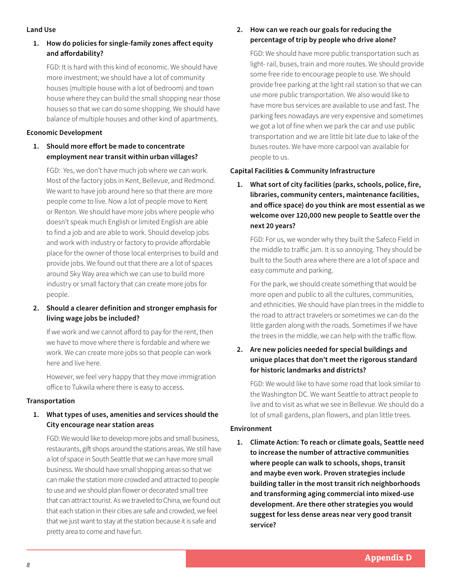#### **Land Use**

# **1. How do policies for single-family zones affect equity and affordability?**

FGD: It is hard with this kind of economic. We should have more investment; we should have a lot of community houses (multiple house with a lot of bedroom) and town house where they can build the small shopping near those houses so that we can do some shopping. We should have balance of multiple houses and other kind of apartments.

## **Economic Development**

# **1. Should more effort be made to concentrate employment near transit within urban villages?**

FGD: Yes, we don't have much job where we can work. Most of the factory jobs in Kent, Bellevue, and Redmond. We want to have job around here so that there are more people come to live. Now a lot of people move to Kent or Renton. We should have more jobs where people who doesn't speak much English or limited English are able to find a job and are able to work. Should develop jobs and work with industry or factory to provide affordable place for the owner of those local enterprises to build and provide jobs. We found out that there are a lot of spaces around Sky Way area which we can use to build more industry or small factory that can create more jobs for people.

# **2. Should a clearer definition and stronger emphasis for living wage jobs be included?**

If we work and we cannot afford to pay for the rent, then we have to move where there is fordable and where we work. We can create more jobs so that people can work here and live here.

However, we feel very happy that they move immigration office to Tukwila where there is easy to access.

# **Transportation**

# **1. What types of uses, amenities and services should the City encourage near station areas**

FGD: We would like to develop more jobs and small business, restaurants, gift shops around the stations areas. We still have a lot of space in South Seattle that we can have more small business. We should have small shopping areas so that we can make the station more crowded and attracted to people to use and we should plan flower or decorated small tree that can attract tourist. As we traveled to China, we found out that each station in their cities are safe and crowded, we feel that we just want to stay at the station because it is safe and pretty area to come and have fun.

# **2. How can we reach our goals for reducing the percentage of trip by people who drive alone?**

FGD: We should have more public transportation such as light- rail, buses, train and more routes. We should provide some free ride to encourage people to use. We should provide free parking at the light rail station so that we can use more public transportation. We also would like to have more bus services are available to use and fast. The parking fees nowadays are very expensive and sometimes we got a lot of fine when we park the car and use public transportation and we are little bit late due to lake of the buses routes. We have more carpool van available for people to us.

# **Capital Facilities & Community Infrastructure**

**1. What sort of city facilities (parks, schools, police, fire, libraries, community centers, maintenance facilities, and office space) do you think are most essential as we welcome over 120,000 new people to Seattle over the next 20 years?**

FGD: For us, we wonder why they built the Safeco Field in the middle to traffic jam. It is so annoying. They should be built to the South area where there are a lot of space and easy commute and parking.

For the park, we should create something that would be more open and public to all the cultures, communities, and ethnicities. We should have plan trees in the middle to the road to attract travelers or sometimes we can do the little garden along with the roads. Sometimes if we have the trees in the middle, we can help with the traffic flow.

# **2. Are new policies needed for special buildings and unique places that don't meet the rigorous standard for historic landmarks and districts?**

FGD: We would like to have some road that look similar to the Washington DC. We want Seattle to attract people to live and to visit as what we see in Bellevue. We should do a lot of small gardens, plan flowers, and plan little trees.

## **Environment**

**1. Climate Action: To reach or climate goals, Seattle need to increase the number of attractive communities where people can walk to schools, shops, transit and maybe even work. Proven strategies include building taller in the most transit rich neighborhoods and transforming aging commercial into mixed-use development. Are there other strategies you would suggest for less dense areas near very good transit service?**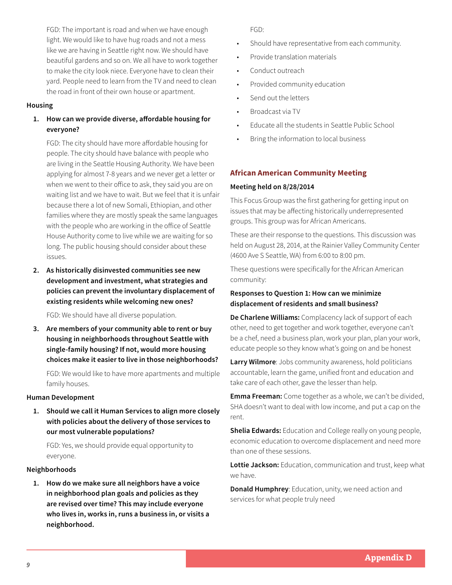FGD: The important is road and when we have enough light. We would like to have hug roads and not a mess like we are having in Seattle right now. We should have beautiful gardens and so on. We all have to work together to make the city look niece. Everyone have to clean their yard. People need to learn from the TV and need to clean the road in front of their own house or apartment.

#### **Housing**

# **1. How can we provide diverse, affordable housing for everyone?**

FGD: The city should have more affordable housing for people. The city should have balance with people who are living in the Seattle Housing Authority. We have been applying for almost 7-8 years and we never get a letter or when we went to their office to ask, they said you are on waiting list and we have to wait. But we feel that it is unfair because there a lot of new Somali, Ethiopian, and other families where they are mostly speak the same languages with the people who are working in the office of Seattle House Authority come to live while we are waiting for so long. The public housing should consider about these issues.

**2. As historically disinvested communities see new development and investment, what strategies and policies can prevent the involuntary displacement of existing residents while welcoming new ones?**

FGD: We should have all diverse population.

**3. Are members of your community able to rent or buy housing in neighborhoods throughout Seattle with single-family housing? If not, would more housing choices make it easier to live in those neighborhoods?**

FGD: We would like to have more apartments and multiple family houses.

#### **Human Development**

**1. Should we call it Human Services to align more closely with policies about the delivery of those services to our most vulnerable populations?** 

FGD: Yes, we should provide equal opportunity to everyone.

## **Neighborhoods**

**1. How do we make sure all neighbors have a voice in neighborhood plan goals and policies as they are revised over time? This may include everyone who lives in, works in, runs a business in, or visits a neighborhood.**

FGD:

- Should have representative from each community.
- Provide translation materials
- Conduct outreach
- Provided community education
- Send out the letters
- Broadcast via TV
- Educate all the students in Seattle Public School
- Bring the information to local business

# **African American Community Meeting**

## **Meeting held on 8/28/2014**

This Focus Group was the first gathering for getting input on issues that may be affecting historically underrepresented groups. This group was for African Americans.

These are their response to the questions. This discussion was held on August 28, 2014, at the Rainier Valley Community Center (4600 Ave S Seattle, WA) from 6:00 to 8:00 pm.

These questions were specifically for the African American community:

## **Responses to Question 1: How can we minimize displacement of residents and small business?**

**De Charlene Williams:** Complacency lack of support of each other, need to get together and work together, everyone can't be a chef, need a business plan, work your plan, plan your work, educate people so they know what's going on and be honest

**Larry Wilmore**: Jobs community awareness, hold politicians accountable, learn the game, unified front and education and take care of each other, gave the lesser than help.

**Emma Freeman:** Come together as a whole, we can't be divided, SHA doesn't want to deal with low income, and put a cap on the rent.

**Shelia Edwards:** Education and College really on young people, economic education to overcome displacement and need more than one of these sessions.

**Lottie Jackson:** Education, communication and trust, keep what we have.

**Donald Humphrey**: Education, unity, we need action and services for what people truly need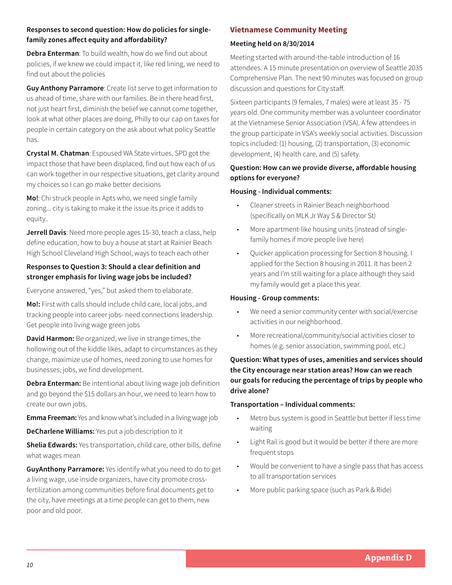## **Responses to second question: How do policies for singlefamily zones affect equity and affordability?**

**Debra Enterman**: To build wealth, how do we find out about policies, if we knew we could impact it, like red lining, we need to find out about the policies

**Guy Anthony Parramore**: Create list serve to get information to us ahead of time, share with our families. Be in there head first, not just heart first, diminish the belief we cannot come together, look at what other places are doing, Philly to our cap on taxes for people in certain category on the ask about what policy Seattle has.

**Crystal M. Chatman**: Espoused WA State virtues, SPD got the impact those that have been displaced, find out how each of us can work together in our respective situations, get clarity around my choices so I can go make better decisions

**Mo!**: Chi struck people in Apts who, we need single family zoning... city is taking to make it the issue its price it adds to equity..

**Jerrell Davis**: Need more people ages 15-30, teach a class, help define education, how to buy a house at start at Rainier Beach High School Cleveland High School, ways to teach each other

# **Responses to Question 3: Should a clear definition and stronger emphasis for living wage jobs be included?**

Everyone answered, "yes," but asked them to elaborate.

**Mo!:** First with calls should include child care, local jobs, and tracking people into career jobs- need connections leadership. Get people into living wage green jobs

**David Harmon:** Be organized, we live in strange times, the hollowing out of the kiddle likes, adapt to circumstances as they change, maximize use of homes, need zoning to use homes for businesses, jobs, we find development.

**Debra Enterman:** Be intentional about living wage job definition and go beyond the \$15 dollars an hour, we need to learn how to create our own jobs.

**Emma Freeman:** Yes and know what's included in a living wage job

**DeCharlene Williams:** Yes put a job description to it

**Shelia Edwards:** Yes transportation, child care, other bills, define what wages mean

**GuyAnthony Parramore:** Yes identify what you need to do to get a living wage, use inside organizers, have city promote crossfertilization among communities before final documents get to the city, have meetings at a time people can get to them, new poor and old poor.

# **Vietnamese Community Meeting**

## **Meeting held on 8/30/2014**

Meeting started with around-the-table introduction of 16 attendees. A 15 minute presentation on overview of Seattle 2035 Comprehensive Plan. The next 90 minutes was focused on group discussion and questions for City staff.

Sixteen participants (9 females, 7 males) were at least 35 - 75 years old. One community member was a volunteer coordinator at the Vietnamese Senior Association (VSA). A few attendees in the group participate in VSA's weekly social activities. Discussion topics included: (1) housing, (2) transportation, (3) economic development, (4) health care, and (5) safety.

# **Question: How can we provide diverse, affordable housing options for everyone?**

# **Housing - Individual comments:**

- Cleaner streets in Rainier Beach neighborhood (specifically on MLK Jr Way S & Director St)
- More apartment-like housing units (instead of singlefamily homes if more people live here)
- Quicker application processing for Section 8 housing. I applied for the Section 8 housing in 2011. It has been 2 years and I'm still waiting for a place although they said my family would get a place this year.

## **Housing - Group comments:**

- We need a senior community center with social/exercise activities in our neighborhood.
- More recreational/community/social activities closer to homes (e.g. senior association, swimming pool, etc.)

# **Question: What types of uses, amenities and services should the City encourage near station areas? How can we reach our goals for reducing the percentage of trips by people who drive alone?**

## **Transportation – Individual comments:**

- Metro bus system is good in Seattle but better if less time waiting
- Light Rail is good but it would be better if there are more frequent stops
- Would be convenient to have a single pass that has access to all transportation services
- More public parking space (such as Park & Ride)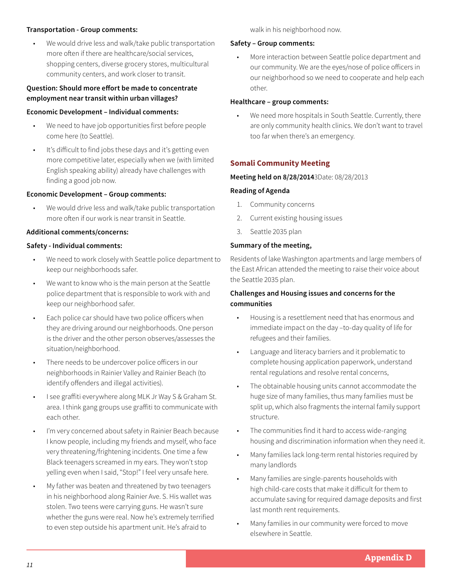#### **Transportation - Group comments:**

• We would drive less and walk/take public transportation more often if there are healthcare/social services, shopping centers, diverse grocery stores, multicultural community centers, and work closer to transit.

## **Question: Should more effort be made to concentrate employment near transit within urban villages?**

#### **Economic Development – Individual comments:**

- We need to have job opportunities first before people come here (to Seattle).
- It's difficult to find jobs these days and it's getting even more competitive later, especially when we (with limited English speaking ability) already have challenges with finding a good job now.

## **Economic Development – Group comments:**

We would drive less and walk/take public transportation more often if our work is near transit in Seattle.

#### **Additional comments/concerns:**

### **Safety - Individual comments:**

- We need to work closely with Seattle police department to keep our neighborhoods safer.
- We want to know who is the main person at the Seattle police department that is responsible to work with and keep our neighborhood safer.
- Each police car should have two police officers when they are driving around our neighborhoods. One person is the driver and the other person observes/assesses the situation/neighborhood.
- There needs to be undercover police officers in our neighborhoods in Rainier Valley and Rainier Beach (to identify offenders and illegal activities).
- I see graffiti everywhere along MLK Jr Way S & Graham St. area. I think gang groups use graffiti to communicate with each other.
- I'm very concerned about safety in Rainier Beach because I know people, including my friends and myself, who face very threatening/frightening incidents. One time a few Black teenagers screamed in my ears. They won't stop yelling even when I said, "Stop!" I feel very unsafe here.
- My father was beaten and threatened by two teenagers in his neighborhood along Rainier Ave. S. His wallet was stolen. Two teens were carrying guns. He wasn't sure whether the guns were real. Now he's extremely terrified to even step outside his apartment unit. He's afraid to

walk in his neighborhood now.

#### **Safety – Group comments:**

• More interaction between Seattle police department and our community. We are the eyes/nose of police officers in our neighborhood so we need to cooperate and help each other.

### **Healthcare – group comments:**

• We need more hospitals in South Seattle. Currently, there are only community health clinics. We don't want to travel too far when there's an emergency.

# **Somali Community Meeting**

#### **Meeting held on 8/28/2014**3Date: 08/28/2013

#### **Reading of Agenda**

- 1. Community concerns
- 2. Current existing housing issues
- 3. Seattle 2035 plan

### **Summary of the meeting,**

Residents of lake Washington apartments and large members of the East African attended the meeting to raise their voice about the Seattle 2035 plan.

## **Challenges and Housing issues and concerns for the communities**

- Housing is a resettlement need that has enormous and immediate impact on the day –to-day quality of life for refugees and their families.
- Language and literacy barriers and it problematic to complete housing application paperwork, understand rental regulations and resolve rental concerns,
- The obtainable housing units cannot accommodate the huge size of many families, thus many families must be split up, which also fragments the internal family support structure.
- The communities find it hard to access wide-ranging housing and discrimination information when they need it.
- Many families lack long-term rental histories required by many landlords
- Many families are single-parents households with high child-care costs that make it difficult for them to accumulate saving for required damage deposits and first last month rent requirements.
- Many families in our community were forced to move elsewhere in Seattle.